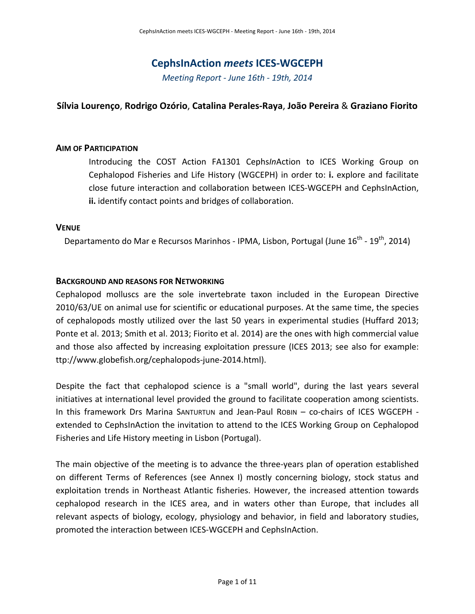## **CephsInAction** *meets* **ICES‐WGCEPH**

*Meeting Report ‐ June 16th ‐ 19th, 2014* 

### **Sílvia Lourenço**, **Rodrigo Ozório**, **Catalina Perales‐Raya**, **João Pereira** & **Graziano Fiorito**

#### **AIM OF PARTICIPATION**

Introducing the COST Action FA1301 Cephs*In*Action to ICES Working Group on Cephalopod Fisheries and Life History (WGCEPH) in order to: **i.** explore and facilitate close future interaction and collaboration between ICES‐WGCEPH and CephsInAction, **ii.** identify contact points and bridges of collaboration.

#### **VENUE**

Departamento do Mar e Recursos Marinhos - IPMA, Lisbon, Portugal (June  $16^{th}$  -  $19^{th}$ , 2014)

### **BACKGROUND AND REASONS FOR NETWORKING**

Cephalopod molluscs are the sole invertebrate taxon included in the European Directive 2010/63/UE on animal use for scientific or educational purposes. At the same time, the species of cephalopods mostly utilized over the last 50 years in experimental studies (Huffard 2013; Ponte et al. 2013; Smith et al. 2013; Fiorito et al. 2014) are the ones with high commercial value and those also affected by increasing exploitation pressure (ICES 2013; see also for example: ttp://www.globefish.org/cephalopods‐june‐2014.html).

Despite the fact that cephalopod science is a "small world", during the last years several initiatives at international level provided the ground to facilitate cooperation among scientists. In this framework Drs Marina SANTURTUN and Jean-Paul ROBIN – co-chairs of ICES WGCEPH extended to CephsInAction the invitation to attend to the ICES Working Group on Cephalopod Fisheries and Life History meeting in Lisbon (Portugal).

The main objective of the meeting is to advance the three‐years plan of operation established on different Terms of References (see Annex I) mostly concerning biology, stock status and exploitation trends in Northeast Atlantic fisheries. However, the increased attention towards cephalopod research in the ICES area, and in waters other than Europe, that includes all relevant aspects of biology, ecology, physiology and behavior, in field and laboratory studies, promoted the interaction between ICES‐WGCEPH and CephsInAction.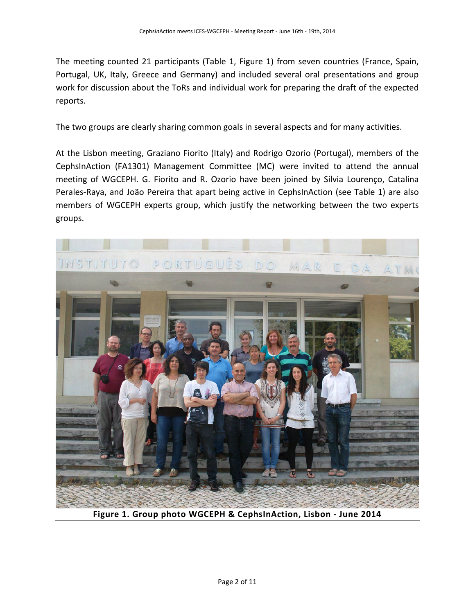The meeting counted 21 participants (Table 1, Figure 1) from seven countries (France, Spain, Portugal, UK, Italy, Greece and Germany) and included several oral presentations and group work for discussion about the ToRs and individual work for preparing the draft of the expected reports.

The two groups are clearly sharing common goals in several aspects and for many activities.

At the Lisbon meeting, Graziano Fiorito (Italy) and Rodrigo Ozorio (Portugal), members of the CephsInAction (FA1301) Management Committee (MC) were invited to attend the annual meeting of WGCEPH. G. Fiorito and R. Ozorio have been joined by Sílvia Lourenço, Catalina Perales‐Raya, and João Pereira that apart being active in CephsInAction (see Table 1) are also members of WGCEPH experts group, which justify the networking between the two experts groups.



**Figure 1. Group photo WGCEPH & CephsInAction, Lisbon ‐ June 2014**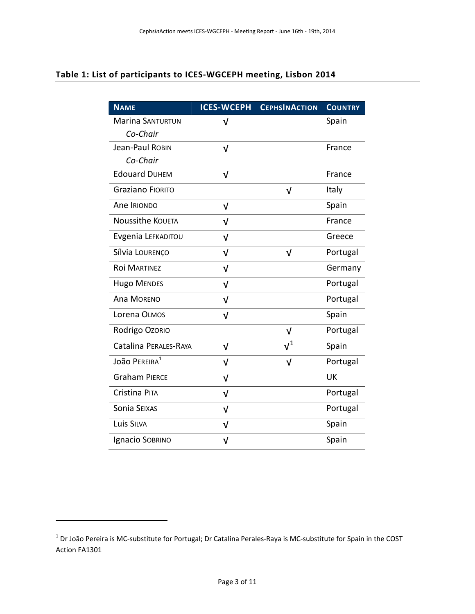# **Table 1: List of participants to ICES‐WGCEPH meeting, Lisbon 2014**

| <b>NAME</b>             | <b>ICES-WCEPH</b> | <b>CEPHSINACTION</b> | <b>COUNTRY</b> |
|-------------------------|-------------------|----------------------|----------------|
| <b>Marina SANTURTUN</b> | V                 |                      | Spain          |
| Co-Chair                |                   |                      |                |
| Jean-Paul Robin         | V                 |                      | France         |
| Co-Chair                |                   |                      |                |
| <b>Edouard DUHEM</b>    | $\sqrt{2}$        |                      | France         |
| <b>Graziano FIORITO</b> |                   | ν                    | Italy          |
| Ane IRIONDO             | $\sqrt{2}$        |                      | Spain          |
| <b>Noussithe KOUETA</b> | V                 |                      | France         |
| Evgenia LEFKADITOU      | V                 |                      | Greece         |
| Sílvia LOURENÇO         | V                 | ν                    | Portugal       |
| ROI MARTINEZ            | ν                 |                      | Germany        |
| <b>Hugo MENDES</b>      | $\sqrt{2}$        |                      | Portugal       |
| <b>Ana MORENO</b>       | V                 |                      | Portugal       |
| Lorena OLMOS            | ν                 |                      | Spain          |
| Rodrigo Ozorio          |                   | $\sqrt{2}$           | Portugal       |
| Catalina PERALES-RAYA   | $\sqrt{2}$        | $v^{\bar{1}}$        | Spain          |
| João PEREIRA $^1$       | ν                 | ν                    | Portugal       |
| <b>Graham PIERCE</b>    | $\sqrt{2}$        |                      | UK             |
| Cristina PITA           | $\sqrt{2}$        |                      | Portugal       |
| Sonia SEIXAS            | v                 |                      | Portugal       |
| <b>Luis SILVA</b>       | $\sqrt{2}$        |                      | Spain          |
| <b>Ignacio SOBRINO</b>  | $\sqrt{ }$        |                      | Spain          |

<span id="page-2-0"></span> $1$  Dr João Pereira is MC-substitute for Portugal; Dr Catalina Perales-Raya is MC-substitute for Spain in the COST Action FA1301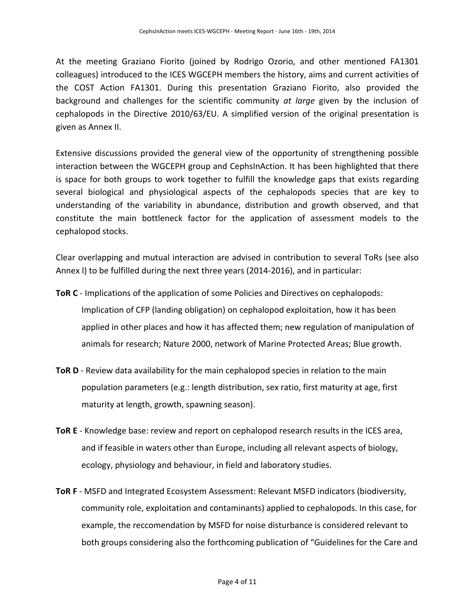At the meeting Graziano Fiorito (joined by Rodrigo Ozorio, and other mentioned FA1301 colleagues) introduced to the ICES WGCEPH members the history, aims and current activities of the COST Action FA1301. During this presentation Graziano Fiorito, also provided the background and challenges for the scientific community *at large* given by the inclusion of cephalopods in the Directive 2010/63/EU. A simplified version of the original presentation is given as Annex II.

Extensive discussions provided the general view of the opportunity of strengthening possible interaction between the WGCEPH group and CephsInAction. It has been highlighted that there is space for both groups to work together to fulfill the knowledge gaps that exists regarding several biological and physiological aspects of the cephalopods species that are key to understanding of the variability in abundance, distribution and growth observed, and that constitute the main bottleneck factor for the application of assessment models to the cephalopod stocks.

Clear overlapping and mutual interaction are advised in contribution to several ToRs (see also Annex I) to be fulfilled during the next three years (2014‐2016), and in particular:

- **ToR C** ‐ Implications of the application of some Policies and Directives on cephalopods: Implication of CFP (landing obligation) on cephalopod exploitation, how it has been applied in other places and how it has affected them; new regulation of manipulation of animals for research; Nature 2000, network of Marine Protected Areas; Blue growth.
- **ToR D** Review data availability for the main cephalopod species in relation to the main population parameters (e.g.: length distribution, sex ratio, first maturity at age, first maturity at length, growth, spawning season).
- **ToR E** ‐ Knowledge base: review and report on cephalopod research results in the ICES area, and if feasible in waters other than Europe, including all relevant aspects of biology, ecology, physiology and behaviour, in field and laboratory studies.
- **ToR F** ‐ MSFD and Integrated Ecosystem Assessment: Relevant MSFD indicators (biodiversity, community role, exploitation and contaminants) applied to cephalopods. In this case, for example, the reccomendation by MSFD for noise disturbance is considered relevant to both groups considering also the forthcoming publication of "Guidelines for the Care and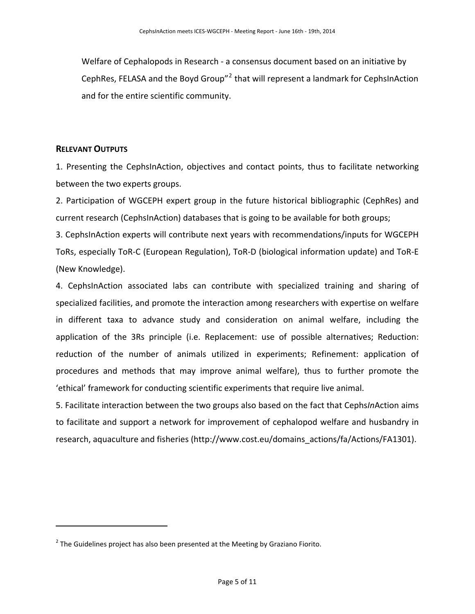Welfare of Cephalopods in Research ‐ a consensus document based on an initiative by CephRes, FELASA and the Boyd Group"[2](#page-4-0) that will represent a landmark for CephsInAction and for the entire scientific community.

#### **RELEVANT OUTPUTS**

1. Presenting the CephsInAction, objectives and contact points, thus to facilitate networking between the two experts groups.

2. Participation of WGCEPH expert group in the future historical bibliographic (CephRes) and current research (CephsInAction) databases that is going to be available for both groups;

3. CephsInAction experts will contribute next years with recommendations/inputs for WGCEPH ToRs, especially ToR‐C (European Regulation), ToR‐D (biological information update) and ToR‐E (New Knowledge).

4. CephsInAction associated labs can contribute with specialized training and sharing of specialized facilities, and promote the interaction among researchers with expertise on welfare in different taxa to advance study and consideration on animal welfare, including the application of the 3Rs principle (i.e. Replacement: use of possible alternatives; Reduction: reduction of the number of animals utilized in experiments; Refinement: application of procedures and methods that may improve animal welfare), thus to further promote the 'ethical' framework for conducting scientific experiments that require live animal.

5. Facilitate interaction between the two groups also based on the fact that Cephs*In*Action aims to facilitate and support a network for improvement of cephalopod welfare and husbandry in research, aquaculture and fisheries (http://www.cost.eu/domains\_actions/fa/Actions/FA1301).

<span id="page-4-0"></span> $2$  The Guidelines project has also been presented at the Meeting by Graziano Fiorito.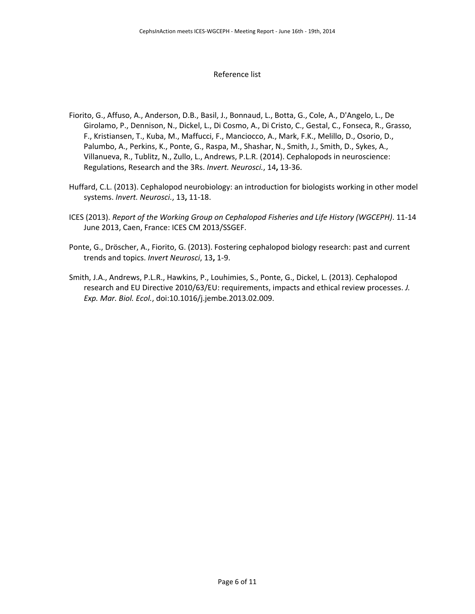#### Reference list

- Fiorito, G., Affuso, A., Anderson, D.B., Basil, J., Bonnaud, L., Botta, G., Cole, A., D'Angelo, L., De Girolamo, P., Dennison, N., Dickel, L., Di Cosmo, A., Di Cristo, C., Gestal, C., Fonseca, R., Grasso, F., Kristiansen, T., Kuba, M., Maffucci, F., Manciocco, A., Mark, F.K., Melillo, D., Osorio, D., Palumbo, A., Perkins, K., Ponte, G., Raspa, M., Shashar, N., Smith, J., Smith, D., Sykes, A., Villanueva, R., Tublitz, N., Zullo, L., Andrews, P.L.R. (2014). Cephalopods in neuroscience: Regulations, Research and the 3Rs. *Invert. Neurosci.*, 14**,** 13‐36.
- Huffard, C.L. (2013). Cephalopod neurobiology: an introduction for biologists working in other model systems. *Invert. Neurosci.*, 13**,** 11‐18.
- ICES (2013). *Report of the Working Group on Cephalopod Fisheries and Life History (WGCEPH)*. 11‐14 June 2013, Caen, France: ICES CM 2013/SSGEF.
- Ponte, G., Dröscher, A., Fiorito, G. (2013). Fostering cephalopod biology research: past and current trends and topics. *Invert Neurosci*, 13**,** 1‐9.
- Smith, J.A., Andrews, P.L.R., Hawkins, P., Louhimies, S., Ponte, G., Dickel, L. (2013). Cephalopod research and EU Directive 2010/63/EU: requirements, impacts and ethical review processes. *J. Exp. Mar. Biol. Ecol.*, doi:10.1016/j.jembe.2013.02.009.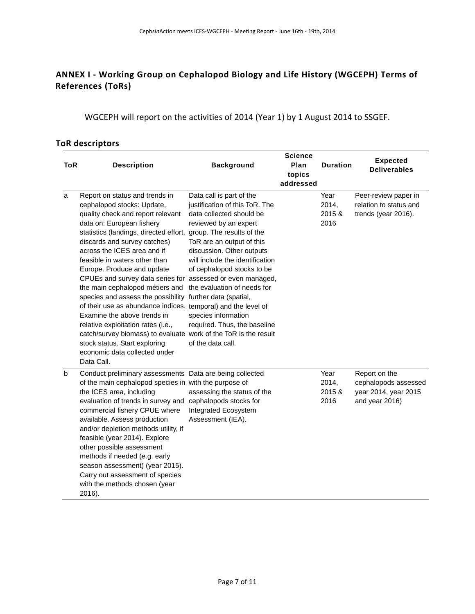## **ANNEX I ‐ Working Group on Cephalopod Biology and Life History (WGCEPH) Terms of References (ToRs)**

WGCEPH will report on the activities of 2014 (Year 1) by 1 August 2014 to SSGEF.

## **ToR descriptors**

| <b>ToR</b> | <b>Description</b>                                                                                                                                                                                                                                                                                                                                                                                                                                                                                                                                                                                                                                                                                                                                            | <b>Background</b>                                                                                                                                                                                                                                                                                                                                                                  | <b>Science</b><br>Plan<br>topics<br>addressed | <b>Duration</b>                 | <b>Expected</b><br><b>Deliverables</b>                                          |
|------------|---------------------------------------------------------------------------------------------------------------------------------------------------------------------------------------------------------------------------------------------------------------------------------------------------------------------------------------------------------------------------------------------------------------------------------------------------------------------------------------------------------------------------------------------------------------------------------------------------------------------------------------------------------------------------------------------------------------------------------------------------------------|------------------------------------------------------------------------------------------------------------------------------------------------------------------------------------------------------------------------------------------------------------------------------------------------------------------------------------------------------------------------------------|-----------------------------------------------|---------------------------------|---------------------------------------------------------------------------------|
| a          | Report on status and trends in<br>cephalopod stocks: Update,<br>quality check and report relevant<br>data on: European fishery<br>statistics (landings, directed effort,<br>discards and survey catches)<br>across the ICES area and if<br>feasible in waters other than<br>Europe. Produce and update<br>CPUEs and survey data series for assessed or even managed,<br>the main cephalopod métiers and<br>species and assess the possibility further data (spatial,<br>of their use as abundance indices. temporal) and the level of<br>Examine the above trends in<br>relative exploitation rates (i.e.,<br>catch/survey biomass) to evaluate work of the ToR is the result<br>stock status. Start exploring<br>economic data collected under<br>Data Call. | Data call is part of the<br>justification of this ToR. The<br>data collected should be<br>reviewed by an expert<br>group. The results of the<br>ToR are an output of this<br>discussion. Other outputs<br>will include the identification<br>of cephalopod stocks to be<br>the evaluation of needs for<br>species information<br>required. Thus, the baseline<br>of the data call. |                                               | Year<br>2014,<br>2015 &<br>2016 | Peer-review paper in<br>relation to status and<br>trends (year 2016).           |
| b          | Conduct preliminary assessments Data are being collected<br>of the main cephalopod species in with the purpose of<br>the ICES area, including<br>evaluation of trends in survey and<br>commercial fishery CPUE where<br>available. Assess production<br>and/or depletion methods utility, if<br>feasible (year 2014). Explore<br>other possible assessment<br>methods if needed (e.g. early<br>season assessment) (year 2015).<br>Carry out assessment of species<br>with the methods chosen (year<br>2016).                                                                                                                                                                                                                                                  | assessing the status of the<br>cephalopods stocks for<br>Integrated Ecosystem<br>Assessment (IEA).                                                                                                                                                                                                                                                                                 |                                               | Year<br>2014,<br>2015 &<br>2016 | Report on the<br>cephalopods assessed<br>year 2014, year 2015<br>and year 2016) |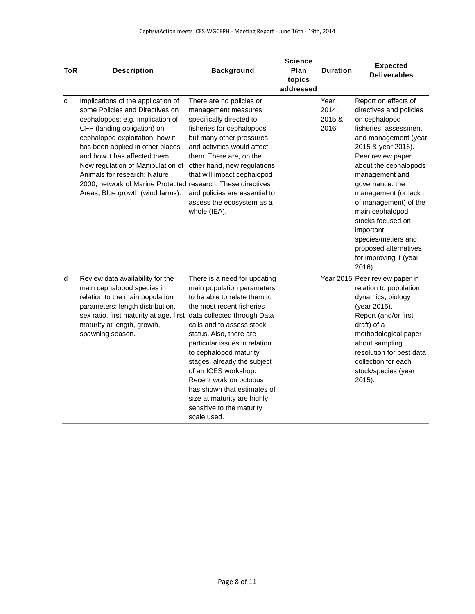| ToR | <b>Description</b>                                                                                                                                                                                                                                                                                                                                                                                                        | <b>Background</b>                                                                                                                                                                                                                                                                                                                                                                                                                     | <b>Science</b><br>Plan<br>topics<br>addressed | <b>Duration</b>                 | <b>Expected</b><br><b>Deliverables</b>                                                                                                                                                                                                                                                                                                                                                                               |
|-----|---------------------------------------------------------------------------------------------------------------------------------------------------------------------------------------------------------------------------------------------------------------------------------------------------------------------------------------------------------------------------------------------------------------------------|---------------------------------------------------------------------------------------------------------------------------------------------------------------------------------------------------------------------------------------------------------------------------------------------------------------------------------------------------------------------------------------------------------------------------------------|-----------------------------------------------|---------------------------------|----------------------------------------------------------------------------------------------------------------------------------------------------------------------------------------------------------------------------------------------------------------------------------------------------------------------------------------------------------------------------------------------------------------------|
| C   | Implications of the application of<br>some Policies and Directives on<br>cephalopods: e.g. Implication of<br>CFP (landing obligation) on<br>cephalopod exploitation, how it<br>has been applied in other places<br>and how it has affected them;<br>New regulation of Manipulation of<br>Animals for research; Nature<br>2000, network of Marine Protected research. These directives<br>Areas, Blue growth (wind farms). | There are no policies or<br>management measures<br>specifically directed to<br>fisheries for cephalopods<br>but many other pressures<br>and activities would affect<br>them. There are, on the<br>other hand, new regulations<br>that will impact cephalopod<br>and policies are essential to<br>assess the ecosystem as a<br>whole (IEA).                                                                                            |                                               | Year<br>2014,<br>2015 &<br>2016 | Report on effects of<br>directives and policies<br>on cephalopod<br>fisheries, assessment,<br>and management (year<br>2015 & year 2016).<br>Peer review paper<br>about the cephalopods<br>management and<br>governance: the<br>management (or lack<br>of management) of the<br>main cephalopod<br>stocks focused on<br>important<br>species/métiers and<br>proposed alternatives<br>for improving it (year<br>2016). |
| d   | Review data availability for the<br>main cephalopod species in<br>relation to the main population<br>parameters: length distribution,<br>sex ratio, first maturity at age, first data collected through Data<br>maturity at length, growth,<br>spawning season.                                                                                                                                                           | There is a need for updating<br>main population parameters<br>to be able to relate them to<br>the most recent fisheries<br>calls and to assess stock<br>status. Also, there are<br>particular issues in relation<br>to cephalopod maturity<br>stages, already the subject<br>of an ICES workshop.<br>Recent work on octopus<br>has shown that estimates of<br>size at maturity are highly<br>sensitive to the maturity<br>scale used. |                                               |                                 | Year 2015 Peer review paper in<br>relation to population<br>dynamics, biology<br>(year 2015).<br>Report (and/or first<br>draft) of a<br>methodological paper<br>about sampling<br>resolution for best data<br>collection for each<br>stock/species (year<br>2015).                                                                                                                                                   |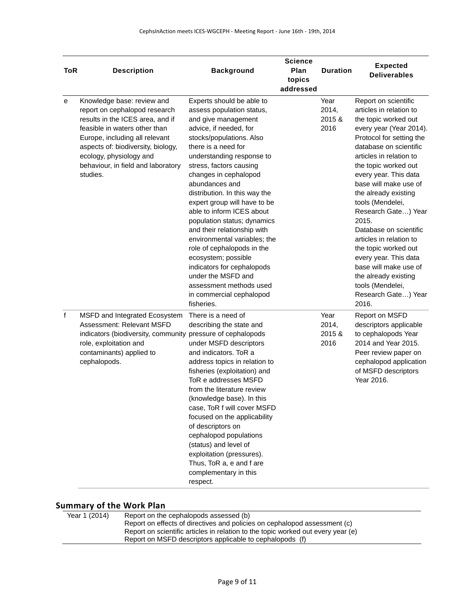|              |                                                                                                                                                                                                                                                                                       |                                                                                                                                                                                                                                                                                                                                                                                                                                                                                                                                                                                                                                         | <b>Science</b> |                                 | <b>Expected</b>                                                                                                                                                                                                                                                                                                                                                                                                                                                                                                                                      |
|--------------|---------------------------------------------------------------------------------------------------------------------------------------------------------------------------------------------------------------------------------------------------------------------------------------|-----------------------------------------------------------------------------------------------------------------------------------------------------------------------------------------------------------------------------------------------------------------------------------------------------------------------------------------------------------------------------------------------------------------------------------------------------------------------------------------------------------------------------------------------------------------------------------------------------------------------------------------|----------------|---------------------------------|------------------------------------------------------------------------------------------------------------------------------------------------------------------------------------------------------------------------------------------------------------------------------------------------------------------------------------------------------------------------------------------------------------------------------------------------------------------------------------------------------------------------------------------------------|
| <b>ToR</b>   | <b>Description</b>                                                                                                                                                                                                                                                                    | <b>Background</b>                                                                                                                                                                                                                                                                                                                                                                                                                                                                                                                                                                                                                       | Plan           | <b>Duration</b>                 | <b>Deliverables</b>                                                                                                                                                                                                                                                                                                                                                                                                                                                                                                                                  |
|              |                                                                                                                                                                                                                                                                                       |                                                                                                                                                                                                                                                                                                                                                                                                                                                                                                                                                                                                                                         | topics         |                                 |                                                                                                                                                                                                                                                                                                                                                                                                                                                                                                                                                      |
|              |                                                                                                                                                                                                                                                                                       |                                                                                                                                                                                                                                                                                                                                                                                                                                                                                                                                                                                                                                         | addressed      |                                 |                                                                                                                                                                                                                                                                                                                                                                                                                                                                                                                                                      |
| е            | Knowledge base: review and<br>report on cephalopod research<br>results in the ICES area, and if<br>feasible in waters other than<br>Europe, including all relevant<br>aspects of: biodiversity, biology,<br>ecology, physiology and<br>behaviour, in field and laboratory<br>studies. | Experts should be able to<br>assess population status,<br>and give management<br>advice, if needed, for<br>stocks/populations. Also<br>there is a need for<br>understanding response to<br>stress, factors causing<br>changes in cephalopod<br>abundances and<br>distribution. In this way the<br>expert group will have to be<br>able to inform ICES about<br>population status; dynamics<br>and their relationship with<br>environmental variables; the<br>role of cephalopods in the<br>ecosystem; possible<br>indicators for cephalopods<br>under the MSFD and<br>assessment methods used<br>in commercial cephalopod<br>fisheries. |                | Year<br>2014,<br>2015 &<br>2016 | Report on scientific<br>articles in relation to<br>the topic worked out<br>every year (Year 2014).<br>Protocol for setting the<br>database on scientific<br>articles in relation to<br>the topic worked out<br>every year. This data<br>base will make use of<br>the already existing<br>tools (Mendelei,<br>Research Gate) Year<br>2015.<br>Database on scientific<br>articles in relation to<br>the topic worked out<br>every year. This data<br>base will make use of<br>the already existing<br>tools (Mendelei,<br>Research Gate) Year<br>2016. |
| $\mathsf{f}$ | MSFD and Integrated Ecosystem<br>Assessment: Relevant MSFD<br>indicators (biodiversity, community pressure of cephalopods<br>role, exploitation and<br>contaminants) applied to<br>cephalopods.                                                                                       | There is a need of<br>describing the state and<br>under MSFD descriptors<br>and indicators. ToR a<br>address topics in relation to<br>fisheries (exploitation) and<br>ToR e addresses MSFD<br>from the literature review<br>(knowledge base). In this<br>case, ToR f will cover MSFD<br>focused on the applicability<br>of descriptors on<br>cephalopod populations<br>(status) and level of<br>exploitation (pressures).<br>Thus, ToR a, e and f are<br>complementary in this<br>respect.                                                                                                                                              |                | Year<br>2014,<br>2015 &<br>2016 | Report on MSFD<br>descriptors applicable<br>to cephalopods Year<br>2014 and Year 2015.<br>Peer review paper on<br>cephalopod application<br>of MSFD descriptors<br>Year 2016.                                                                                                                                                                                                                                                                                                                                                                        |

## **Summary of the Work Plan**

| Year 1 (2014) | Report on the cephalopods assessed (b)                                           |
|---------------|----------------------------------------------------------------------------------|
|               | Report on effects of directives and policies on cephalopod assessment (c)        |
|               | Report on scientific articles in relation to the topic worked out every year (e) |
|               | Report on MSFD descriptors applicable to cephalopods (f)                         |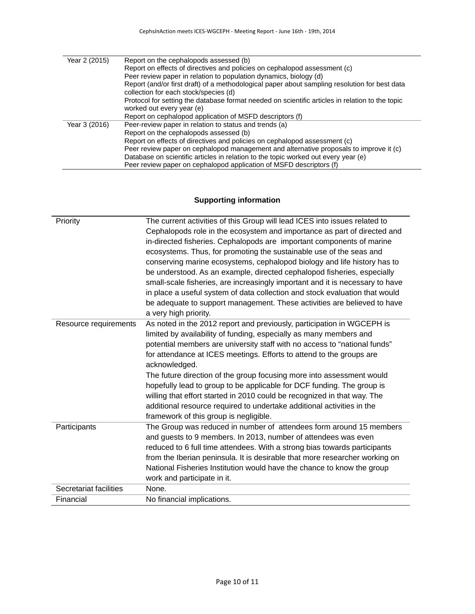| Year 2 (2015) | Report on the cephalopods assessed (b)                                                          |
|---------------|-------------------------------------------------------------------------------------------------|
|               | Report on effects of directives and policies on cephalopod assessment (c)                       |
|               | Peer review paper in relation to population dynamics, biology (d)                               |
|               | Report (and/or first draft) of a methodological paper about sampling resolution for best data   |
|               | collection for each stock/species (d)                                                           |
|               | Protocol for setting the database format needed on scientific articles in relation to the topic |
|               | worked out every year (e)                                                                       |
|               | Report on cephalopod application of MSFD descriptors (f)                                        |
| Year 3 (2016) | Peer-review paper in relation to status and trends (a)                                          |
|               | Report on the cephalopods assessed (b)                                                          |
|               | Report on effects of directives and policies on cephalopod assessment (c)                       |
|               | Peer review paper on cephalopod management and alternative proposals to improve it (c)          |
|               | Database on scientific articles in relation to the topic worked out every year (e)              |
|               | Peer review paper on cephalopod application of MSFD descriptors (f)                             |

### **Supporting information**

| Priority               | The current activities of this Group will lead ICES into issues related to    |
|------------------------|-------------------------------------------------------------------------------|
|                        | Cephalopods role in the ecosystem and importance as part of directed and      |
|                        | in-directed fisheries. Cephalopods are important components of marine         |
|                        | ecosystems. Thus, for promoting the sustainable use of the seas and           |
|                        | conserving marine ecosystems, cephalopod biology and life history has to      |
|                        | be understood. As an example, directed cephalopod fisheries, especially       |
|                        | small-scale fisheries, are increasingly important and it is necessary to have |
|                        | in place a useful system of data collection and stock evaluation that would   |
|                        | be adequate to support management. These activities are believed to have      |
|                        | a very high priority.                                                         |
| Resource requirements  | As noted in the 2012 report and previously, participation in WGCEPH is        |
|                        | limited by availability of funding, especially as many members and            |
|                        | potential members are university staff with no access to "national funds"     |
|                        | for attendance at ICES meetings. Efforts to attend to the groups are          |
|                        | acknowledged.                                                                 |
|                        | The future direction of the group focusing more into assessment would         |
|                        | hopefully lead to group to be applicable for DCF funding. The group is        |
|                        | willing that effort started in 2010 could be recognized in that way. The      |
|                        | additional resource required to undertake additional activities in the        |
|                        | framework of this group is negligible.                                        |
| Participants           | The Group was reduced in number of attendees form around 15 members           |
|                        | and guests to 9 members. In 2013, number of attendees was even                |
|                        | reduced to 6 full time attendees. With a strong bias towards participants     |
|                        | from the Iberian peninsula. It is desirable that more researcher working on   |
|                        | National Fisheries Institution would have the chance to know the group        |
|                        | work and participate in it.                                                   |
| Secretariat facilities | None.                                                                         |
| Financial              | No financial implications.                                                    |
|                        |                                                                               |